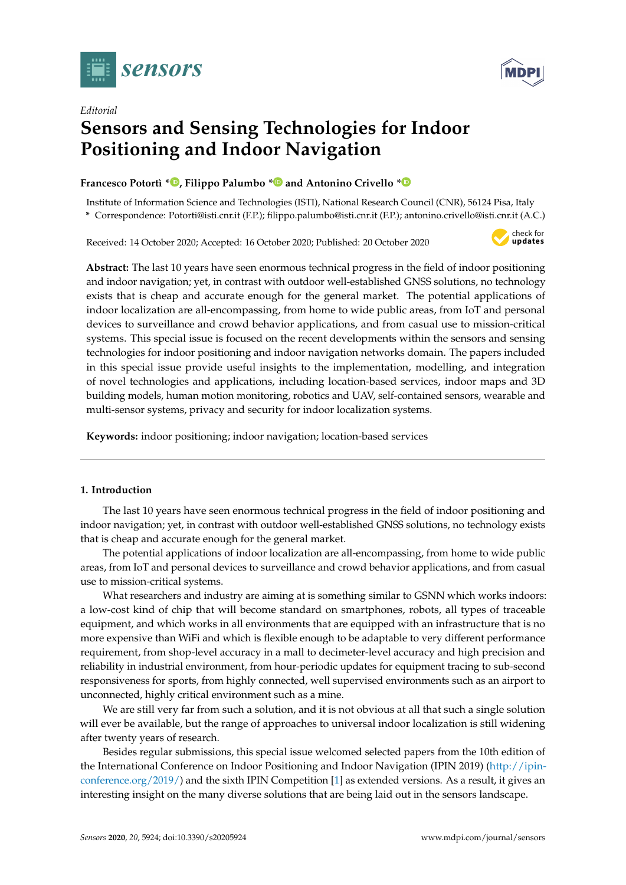



# *Editorial* **Sensors and Sensing Technologies for Indoor Positioning and Indoor Navigation**

## **Francesco Potortì \*<sup>1</sup>[,](https://orcid.org/0000-0003-3835-3920) Filippo Palumbo [\\*](https://orcid.org/0000-0001-7238-2181)<sup>1</sup> and Antonino Crivello \*<sup>1</sup>**

Institute of Information Science and Technologies (ISTI), National Research Council (CNR), 56124 Pisa, Italy **\*** Correspondence: Potorti@isti.cnr.it (F.P.); filippo.palumbo@isti.cnr.it (F.P.); antonino.crivello@isti.cnr.it (A.C.)

Received: 14 October 2020; Accepted: 16 October 2020; Published: 20 October 2020



**Abstract:** The last 10 years have seen enormous technical progress in the field of indoor positioning and indoor navigation; yet, in contrast with outdoor well-established GNSS solutions, no technology exists that is cheap and accurate enough for the general market. The potential applications of indoor localization are all-encompassing, from home to wide public areas, from IoT and personal devices to surveillance and crowd behavior applications, and from casual use to mission-critical systems. This special issue is focused on the recent developments within the sensors and sensing technologies for indoor positioning and indoor navigation networks domain. The papers included in this special issue provide useful insights to the implementation, modelling, and integration of novel technologies and applications, including location-based services, indoor maps and 3D building models, human motion monitoring, robotics and UAV, self-contained sensors, wearable and multi-sensor systems, privacy and security for indoor localization systems.

**Keywords:** indoor positioning; indoor navigation; location-based services

## **1. Introduction**

The last 10 years have seen enormous technical progress in the field of indoor positioning and indoor navigation; yet, in contrast with outdoor well-established GNSS solutions, no technology exists that is cheap and accurate enough for the general market.

The potential applications of indoor localization are all-encompassing, from home to wide public areas, from IoT and personal devices to surveillance and crowd behavior applications, and from casual use to mission-critical systems.

What researchers and industry are aiming at is something similar to GSNN which works indoors: a low-cost kind of chip that will become standard on smartphones, robots, all types of traceable equipment, and which works in all environments that are equipped with an infrastructure that is no more expensive than WiFi and which is flexible enough to be adaptable to very different performance requirement, from shop-level accuracy in a mall to decimeter-level accuracy and high precision and reliability in industrial environment, from hour-periodic updates for equipment tracing to sub-second responsiveness for sports, from highly connected, well supervised environments such as an airport to unconnected, highly critical environment such as a mine.

We are still very far from such a solution, and it is not obvious at all that such a single solution will ever be available, but the range of approaches to universal indoor localization is still widening after twenty years of research.

Besides regular submissions, this special issue welcomed selected papers from the 10th edition of the International Conference on Indoor Positioning and Indoor Navigation (IPIN 2019) [\(http://ipin](http://ipin-conference.org/2019/)[conference.org/2019/\)](http://ipin-conference.org/2019/) and the sixth IPIN Competition [\[1\]](#page-4-0) as extended versions. As a result, it gives an interesting insight on the many diverse solutions that are being laid out in the sensors landscape.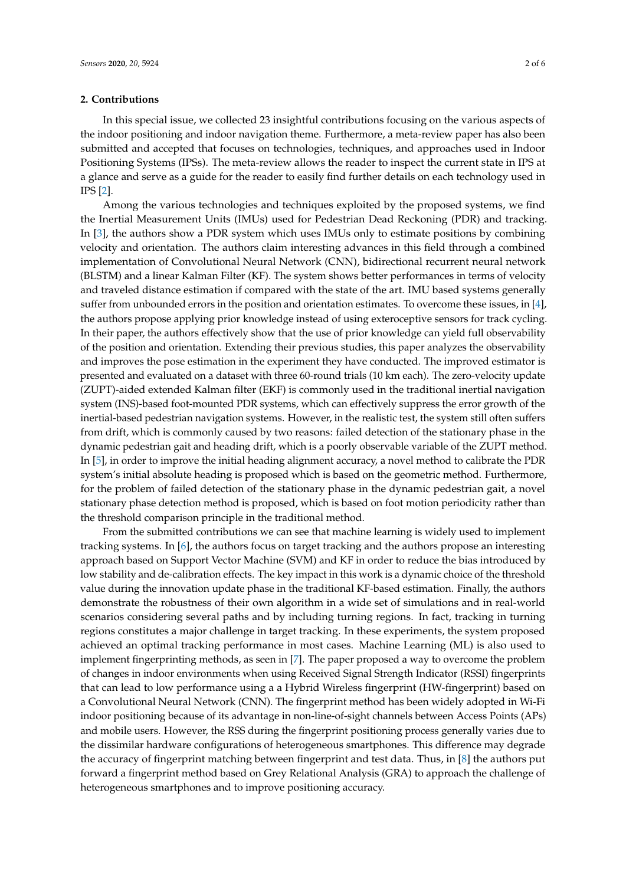### **2. Contributions**

In this special issue, we collected 23 insightful contributions focusing on the various aspects of the indoor positioning and indoor navigation theme. Furthermore, a meta-review paper has also been submitted and accepted that focuses on technologies, techniques, and approaches used in Indoor Positioning Systems (IPSs). The meta-review allows the reader to inspect the current state in IPS at a glance and serve as a guide for the reader to easily find further details on each technology used in IPS [\[2\]](#page-4-1).

Among the various technologies and techniques exploited by the proposed systems, we find the Inertial Measurement Units (IMUs) used for Pedestrian Dead Reckoning (PDR) and tracking. In [\[3\]](#page-5-0), the authors show a PDR system which uses IMUs only to estimate positions by combining velocity and orientation. The authors claim interesting advances in this field through a combined implementation of Convolutional Neural Network (CNN), bidirectional recurrent neural network (BLSTM) and a linear Kalman Filter (KF). The system shows better performances in terms of velocity and traveled distance estimation if compared with the state of the art. IMU based systems generally suffer from unbounded errors in the position and orientation estimates. To overcome these issues, in [\[4\]](#page-5-1), the authors propose applying prior knowledge instead of using exteroceptive sensors for track cycling. In their paper, the authors effectively show that the use of prior knowledge can yield full observability of the position and orientation. Extending their previous studies, this paper analyzes the observability and improves the pose estimation in the experiment they have conducted. The improved estimator is presented and evaluated on a dataset with three 60-round trials (10 km each). The zero-velocity update (ZUPT)-aided extended Kalman filter (EKF) is commonly used in the traditional inertial navigation system (INS)-based foot-mounted PDR systems, which can effectively suppress the error growth of the inertial-based pedestrian navigation systems. However, in the realistic test, the system still often suffers from drift, which is commonly caused by two reasons: failed detection of the stationary phase in the dynamic pedestrian gait and heading drift, which is a poorly observable variable of the ZUPT method. In [\[5\]](#page-5-2), in order to improve the initial heading alignment accuracy, a novel method to calibrate the PDR system's initial absolute heading is proposed which is based on the geometric method. Furthermore, for the problem of failed detection of the stationary phase in the dynamic pedestrian gait, a novel stationary phase detection method is proposed, which is based on foot motion periodicity rather than the threshold comparison principle in the traditional method.

From the submitted contributions we can see that machine learning is widely used to implement tracking systems. In [\[6\]](#page-5-3), the authors focus on target tracking and the authors propose an interesting approach based on Support Vector Machine (SVM) and KF in order to reduce the bias introduced by low stability and de-calibration effects. The key impact in this work is a dynamic choice of the threshold value during the innovation update phase in the traditional KF-based estimation. Finally, the authors demonstrate the robustness of their own algorithm in a wide set of simulations and in real-world scenarios considering several paths and by including turning regions. In fact, tracking in turning regions constitutes a major challenge in target tracking. In these experiments, the system proposed achieved an optimal tracking performance in most cases. Machine Learning (ML) is also used to implement fingerprinting methods, as seen in [\[7\]](#page-5-4). The paper proposed a way to overcome the problem of changes in indoor environments when using Received Signal Strength Indicator (RSSI) fingerprints that can lead to low performance using a a Hybrid Wireless fingerprint (HW-fingerprint) based on a Convolutional Neural Network (CNN). The fingerprint method has been widely adopted in Wi-Fi indoor positioning because of its advantage in non-line-of-sight channels between Access Points (APs) and mobile users. However, the RSS during the fingerprint positioning process generally varies due to the dissimilar hardware configurations of heterogeneous smartphones. This difference may degrade the accuracy of fingerprint matching between fingerprint and test data. Thus, in [\[8\]](#page-5-5) the authors put forward a fingerprint method based on Grey Relational Analysis (GRA) to approach the challenge of heterogeneous smartphones and to improve positioning accuracy.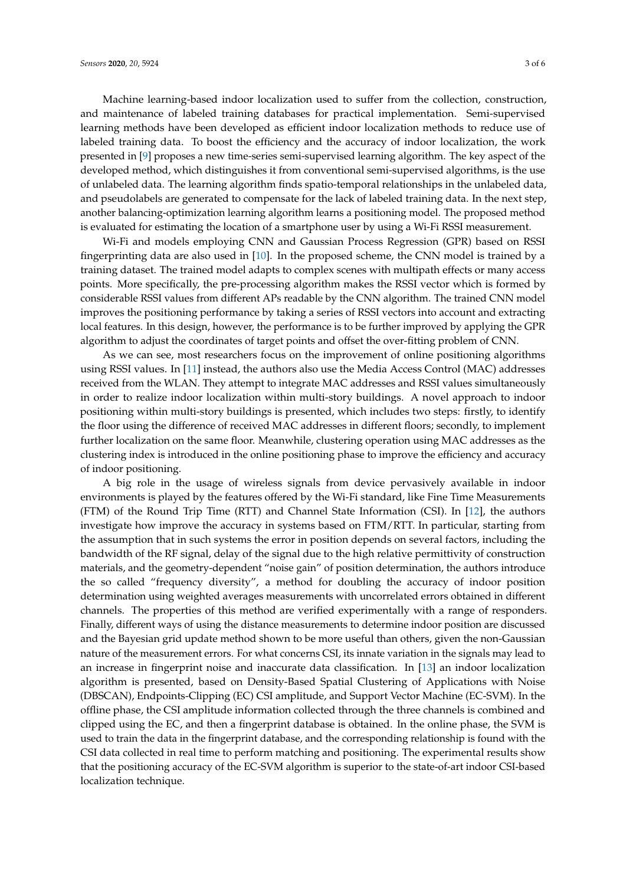Machine learning-based indoor localization used to suffer from the collection, construction, and maintenance of labeled training databases for practical implementation. Semi-supervised learning methods have been developed as efficient indoor localization methods to reduce use of labeled training data. To boost the efficiency and the accuracy of indoor localization, the work presented in [\[9\]](#page-5-6) proposes a new time-series semi-supervised learning algorithm. The key aspect of the developed method, which distinguishes it from conventional semi-supervised algorithms, is the use of unlabeled data. The learning algorithm finds spatio-temporal relationships in the unlabeled data, and pseudolabels are generated to compensate for the lack of labeled training data. In the next step, another balancing-optimization learning algorithm learns a positioning model. The proposed method is evaluated for estimating the location of a smartphone user by using a Wi-Fi RSSI measurement.

Wi-Fi and models employing CNN and Gaussian Process Regression (GPR) based on RSSI fingerprinting data are also used in [\[10\]](#page-5-7). In the proposed scheme, the CNN model is trained by a training dataset. The trained model adapts to complex scenes with multipath effects or many access points. More specifically, the pre-processing algorithm makes the RSSI vector which is formed by considerable RSSI values from different APs readable by the CNN algorithm. The trained CNN model improves the positioning performance by taking a series of RSSI vectors into account and extracting local features. In this design, however, the performance is to be further improved by applying the GPR algorithm to adjust the coordinates of target points and offset the over-fitting problem of CNN.

As we can see, most researchers focus on the improvement of online positioning algorithms using RSSI values. In [\[11\]](#page-5-8) instead, the authors also use the Media Access Control (MAC) addresses received from the WLAN. They attempt to integrate MAC addresses and RSSI values simultaneously in order to realize indoor localization within multi-story buildings. A novel approach to indoor positioning within multi-story buildings is presented, which includes two steps: firstly, to identify the floor using the difference of received MAC addresses in different floors; secondly, to implement further localization on the same floor. Meanwhile, clustering operation using MAC addresses as the clustering index is introduced in the online positioning phase to improve the efficiency and accuracy of indoor positioning.

A big role in the usage of wireless signals from device pervasively available in indoor environments is played by the features offered by the Wi-Fi standard, like Fine Time Measurements (FTM) of the Round Trip Time (RTT) and Channel State Information (CSI). In [\[12\]](#page-5-9), the authors investigate how improve the accuracy in systems based on FTM/RTT. In particular, starting from the assumption that in such systems the error in position depends on several factors, including the bandwidth of the RF signal, delay of the signal due to the high relative permittivity of construction materials, and the geometry-dependent "noise gain" of position determination, the authors introduce the so called "frequency diversity", a method for doubling the accuracy of indoor position determination using weighted averages measurements with uncorrelated errors obtained in different channels. The properties of this method are verified experimentally with a range of responders. Finally, different ways of using the distance measurements to determine indoor position are discussed and the Bayesian grid update method shown to be more useful than others, given the non-Gaussian nature of the measurement errors. For what concerns CSI, its innate variation in the signals may lead to an increase in fingerprint noise and inaccurate data classification. In [\[13\]](#page-5-10) an indoor localization algorithm is presented, based on Density-Based Spatial Clustering of Applications with Noise (DBSCAN), Endpoints-Clipping (EC) CSI amplitude, and Support Vector Machine (EC-SVM). In the offline phase, the CSI amplitude information collected through the three channels is combined and clipped using the EC, and then a fingerprint database is obtained. In the online phase, the SVM is used to train the data in the fingerprint database, and the corresponding relationship is found with the CSI data collected in real time to perform matching and positioning. The experimental results show that the positioning accuracy of the EC-SVM algorithm is superior to the state-of-art indoor CSI-based localization technique.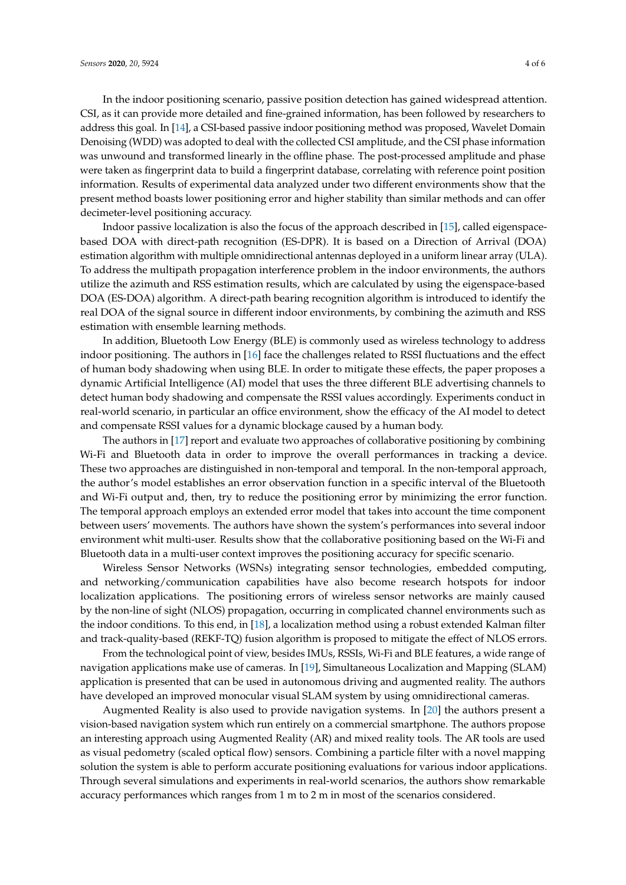In the indoor positioning scenario, passive position detection has gained widespread attention. CSI, as it can provide more detailed and fine-grained information, has been followed by researchers to address this goal. In [\[14\]](#page-5-11), a CSI-based passive indoor positioning method was proposed, Wavelet Domain Denoising (WDD) was adopted to deal with the collected CSI amplitude, and the CSI phase information was unwound and transformed linearly in the offline phase. The post-processed amplitude and phase were taken as fingerprint data to build a fingerprint database, correlating with reference point position information. Results of experimental data analyzed under two different environments show that the present method boasts lower positioning error and higher stability than similar methods and can offer decimeter-level positioning accuracy.

Indoor passive localization is also the focus of the approach described in [\[15\]](#page-5-12), called eigenspacebased DOA with direct-path recognition (ES-DPR). It is based on a Direction of Arrival (DOA) estimation algorithm with multiple omnidirectional antennas deployed in a uniform linear array (ULA). To address the multipath propagation interference problem in the indoor environments, the authors utilize the azimuth and RSS estimation results, which are calculated by using the eigenspace-based DOA (ES-DOA) algorithm. A direct-path bearing recognition algorithm is introduced to identify the real DOA of the signal source in different indoor environments, by combining the azimuth and RSS estimation with ensemble learning methods.

In addition, Bluetooth Low Energy (BLE) is commonly used as wireless technology to address indoor positioning. The authors in [\[16\]](#page-5-13) face the challenges related to RSSI fluctuations and the effect of human body shadowing when using BLE. In order to mitigate these effects, the paper proposes a dynamic Artificial Intelligence (AI) model that uses the three different BLE advertising channels to detect human body shadowing and compensate the RSSI values accordingly. Experiments conduct in real-world scenario, in particular an office environment, show the efficacy of the AI model to detect and compensate RSSI values for a dynamic blockage caused by a human body.

The authors in [\[17\]](#page-5-14) report and evaluate two approaches of collaborative positioning by combining Wi-Fi and Bluetooth data in order to improve the overall performances in tracking a device. These two approaches are distinguished in non-temporal and temporal. In the non-temporal approach, the author's model establishes an error observation function in a specific interval of the Bluetooth and Wi-Fi output and, then, try to reduce the positioning error by minimizing the error function. The temporal approach employs an extended error model that takes into account the time component between users' movements. The authors have shown the system's performances into several indoor environment whit multi-user. Results show that the collaborative positioning based on the Wi-Fi and Bluetooth data in a multi-user context improves the positioning accuracy for specific scenario.

Wireless Sensor Networks (WSNs) integrating sensor technologies, embedded computing, and networking/communication capabilities have also become research hotspots for indoor localization applications. The positioning errors of wireless sensor networks are mainly caused by the non-line of sight (NLOS) propagation, occurring in complicated channel environments such as the indoor conditions. To this end, in [\[18\]](#page-5-15), a localization method using a robust extended Kalman filter and track-quality-based (REKF-TQ) fusion algorithm is proposed to mitigate the effect of NLOS errors.

From the technological point of view, besides IMUs, RSSIs, Wi-Fi and BLE features, a wide range of navigation applications make use of cameras. In [\[19\]](#page-5-16), Simultaneous Localization and Mapping (SLAM) application is presented that can be used in autonomous driving and augmented reality. The authors have developed an improved monocular visual SLAM system by using omnidirectional cameras.

Augmented Reality is also used to provide navigation systems. In [\[20\]](#page-5-17) the authors present a vision-based navigation system which run entirely on a commercial smartphone. The authors propose an interesting approach using Augmented Reality (AR) and mixed reality tools. The AR tools are used as visual pedometry (scaled optical flow) sensors. Combining a particle filter with a novel mapping solution the system is able to perform accurate positioning evaluations for various indoor applications. Through several simulations and experiments in real-world scenarios, the authors show remarkable accuracy performances which ranges from 1 m to 2 m in most of the scenarios considered.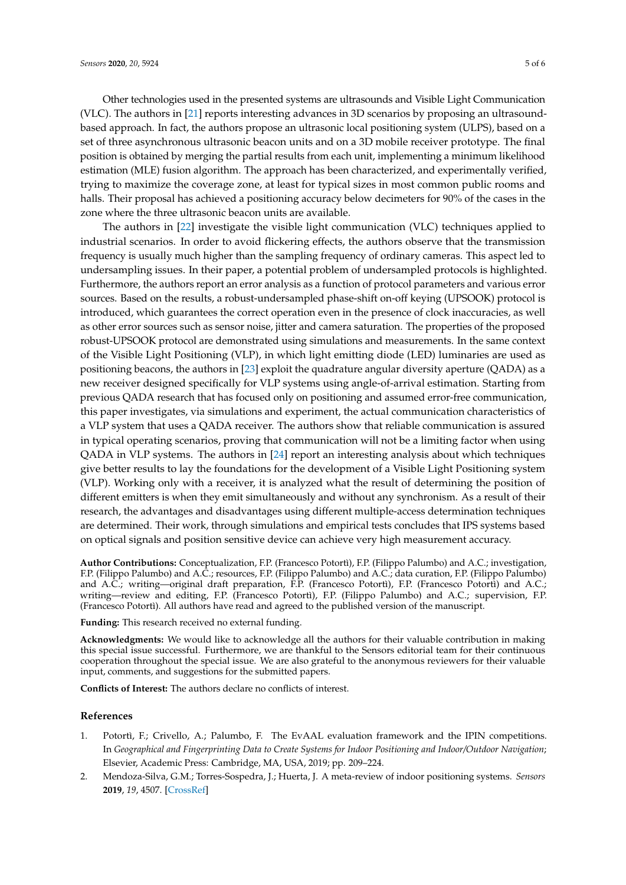Other technologies used in the presented systems are ultrasounds and Visible Light Communication (VLC). The authors in [\[21\]](#page-5-18) reports interesting advances in 3D scenarios by proposing an ultrasoundbased approach. In fact, the authors propose an ultrasonic local positioning system (ULPS), based on a set of three asynchronous ultrasonic beacon units and on a 3D mobile receiver prototype. The final position is obtained by merging the partial results from each unit, implementing a minimum likelihood estimation (MLE) fusion algorithm. The approach has been characterized, and experimentally verified, trying to maximize the coverage zone, at least for typical sizes in most common public rooms and halls. Their proposal has achieved a positioning accuracy below decimeters for 90% of the cases in the zone where the three ultrasonic beacon units are available.

The authors in [\[22\]](#page-5-19) investigate the visible light communication (VLC) techniques applied to industrial scenarios. In order to avoid flickering effects, the authors observe that the transmission frequency is usually much higher than the sampling frequency of ordinary cameras. This aspect led to undersampling issues. In their paper, a potential problem of undersampled protocols is highlighted. Furthermore, the authors report an error analysis as a function of protocol parameters and various error sources. Based on the results, a robust-undersampled phase-shift on-off keying (UPSOOK) protocol is introduced, which guarantees the correct operation even in the presence of clock inaccuracies, as well as other error sources such as sensor noise, jitter and camera saturation. The properties of the proposed robust-UPSOOK protocol are demonstrated using simulations and measurements. In the same context of the Visible Light Positioning (VLP), in which light emitting diode (LED) luminaries are used as positioning beacons, the authors in [\[23\]](#page-5-20) exploit the quadrature angular diversity aperture (QADA) as a new receiver designed specifically for VLP systems using angle-of-arrival estimation. Starting from previous QADA research that has focused only on positioning and assumed error-free communication, this paper investigates, via simulations and experiment, the actual communication characteristics of a VLP system that uses a QADA receiver. The authors show that reliable communication is assured in typical operating scenarios, proving that communication will not be a limiting factor when using QADA in VLP systems. The authors in [\[24\]](#page-5-21) report an interesting analysis about which techniques give better results to lay the foundations for the development of a Visible Light Positioning system (VLP). Working only with a receiver, it is analyzed what the result of determining the position of different emitters is when they emit simultaneously and without any synchronism. As a result of their research, the advantages and disadvantages using different multiple-access determination techniques are determined. Their work, through simulations and empirical tests concludes that IPS systems based on optical signals and position sensitive device can achieve very high measurement accuracy.

**Author Contributions:** Conceptualization, F.P. (Francesco Potortì), F.P. (Filippo Palumbo) and A.C.; investigation, F.P. (Filippo Palumbo) and A.C.; resources, F.P. (Filippo Palumbo) and A.C.; data curation, F.P. (Filippo Palumbo) and A.C.; writing—original draft preparation, F.P. (Francesco Potortì), F.P. (Francesco Potortì) and A.C.; writing—review and editing, F.P. (Francesco Potortì), F.P. (Filippo Palumbo) and A.C.; supervision, F.P. (Francesco Potortì). All authors have read and agreed to the published version of the manuscript.

**Funding:** This research received no external funding.

**Acknowledgments:** We would like to acknowledge all the authors for their valuable contribution in making this special issue successful. Furthermore, we are thankful to the Sensors editorial team for their continuous cooperation throughout the special issue. We are also grateful to the anonymous reviewers for their valuable input, comments, and suggestions for the submitted papers.

**Conflicts of Interest:** The authors declare no conflicts of interest.

#### **References**

- <span id="page-4-0"></span>1. Potortì, F.; Crivello, A.; Palumbo, F. The EvAAL evaluation framework and the IPIN competitions. In *Geographical and Fingerprinting Data to Create Systems for Indoor Positioning and Indoor/Outdoor Navigation*; Elsevier, Academic Press: Cambridge, MA, USA, 2019; pp. 209–224.
- <span id="page-4-1"></span>2. Mendoza-Silva, G.M.; Torres-Sospedra, J.; Huerta, J. A meta-review of indoor positioning systems. *Sensors* **2019**, *19*, 4507. [\[CrossRef\]](http://dx.doi.org/10.3390/s19204507)